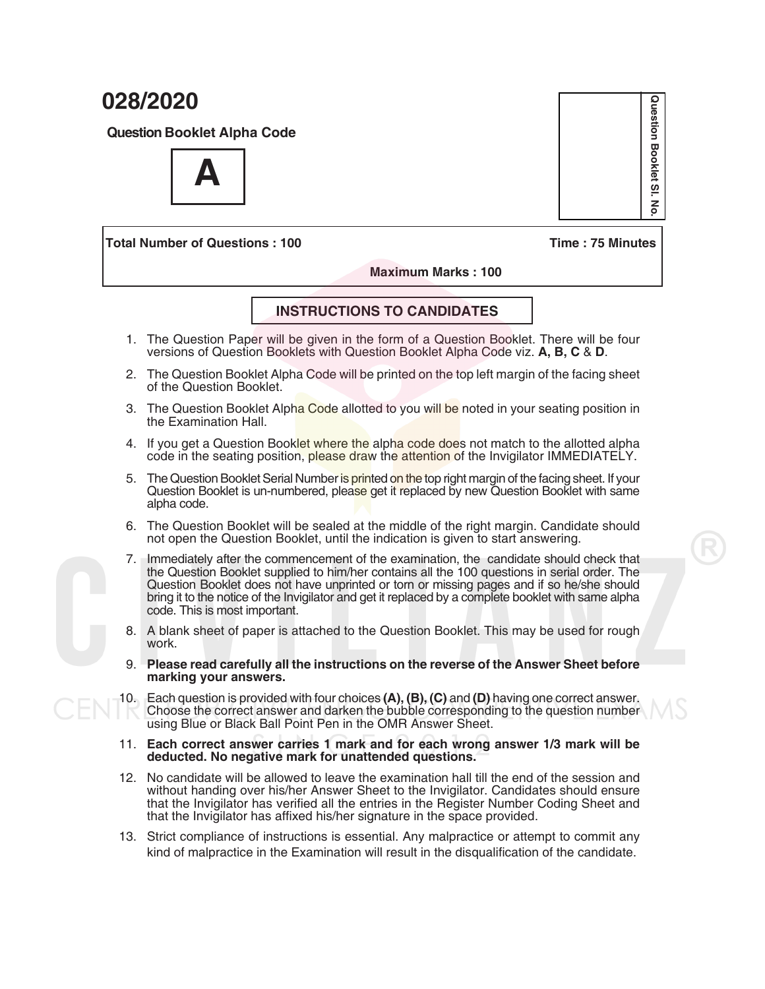**Question Booklet Alpha Code**



**Total Number of Questions : 100 Time : 75 Minutes**

### **Maximum Marks : 100**

### **INSTRUCTIONS TO CANDIDATES**

- 1. The Question Paper will be given in the form of a Question Booklet. There will be four versions of Question Booklets with Question Booklet Alpha Code viz. **A, B, C** & **D**.
- 2. The Question Booklet Alpha Code will be printed on the top left margin of the facing sheet of the Question Booklet.
- 3. The Question Booklet Alpha Code allotted to you will be noted in your seating position in the Examination Hall.
- 4. If you get a Question Booklet where the alpha code does not match to the allotted alpha code in the seating position, please draw the attention of the Invigilator IMMEDIATELY.
- 5. The Question Booklet Serial Number is printed on the top right margin of the facing sheet. If your Question Booklet is un-numbered, please get it replaced by new Question Booklet with same alpha code.
- 6. The Question Booklet will be sealed at the middle of the right margin. Candidate should not open the Question Booklet, until the indication is given to start answering.
- 7. Immediately after the commencement of the examination, the candidate should check that the Question Booklet supplied to him/her contains all the 100 questions in serial order. The Question Booklet does not have unprinted or torn or missing pages and if so he/she should bring it to the notice of the Invigilator and get it replaced by a complete booklet with same alpha code. This is most important.
- 8. A blank sheet of paper is attached to the Question Booklet. This may be used for rough work.
- 9. **Please read carefully all the instructions on the reverse of the Answer Sheet before marking your answers.**
- 10. Each question is provided with four choices **(A), (B), (C)** and **(D)** having one correct answer. Choose the correct answer and darken the bubble corresponding to the question number using Blue or Black Ball Point Pen in the OMR Answer Sheet.
- 11. **Each correct answer carries 1 mark and for each wrong answer 1/3 mark will be deducted. No negative mark for unattended questions.**
- 12. No candidate will be allowed to leave the examination hall till the end of the session and without handing over his/her Answer Sheet to the Invigilator. Candidates should ensure that the Invigilator has verified all the entries in the Register Number Coding Sheet and that the Invigilator has affixed his/her signature in the space provided.
- 13. Strict compliance of instructions is essential. Any malpractice or attempt to commit any kind of malpractice in the Examination will result in the disqualification of the candidate.

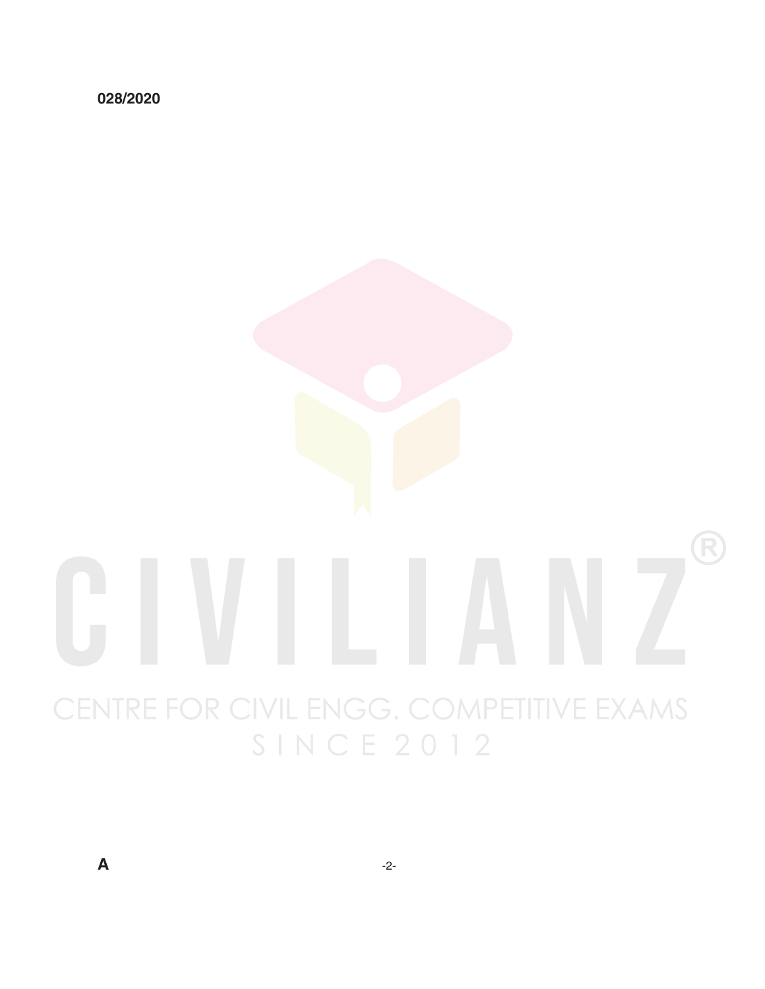## CENTRE FOR CIVIL ENGG. COMPETITIVE EXAMS **SINCE 2012**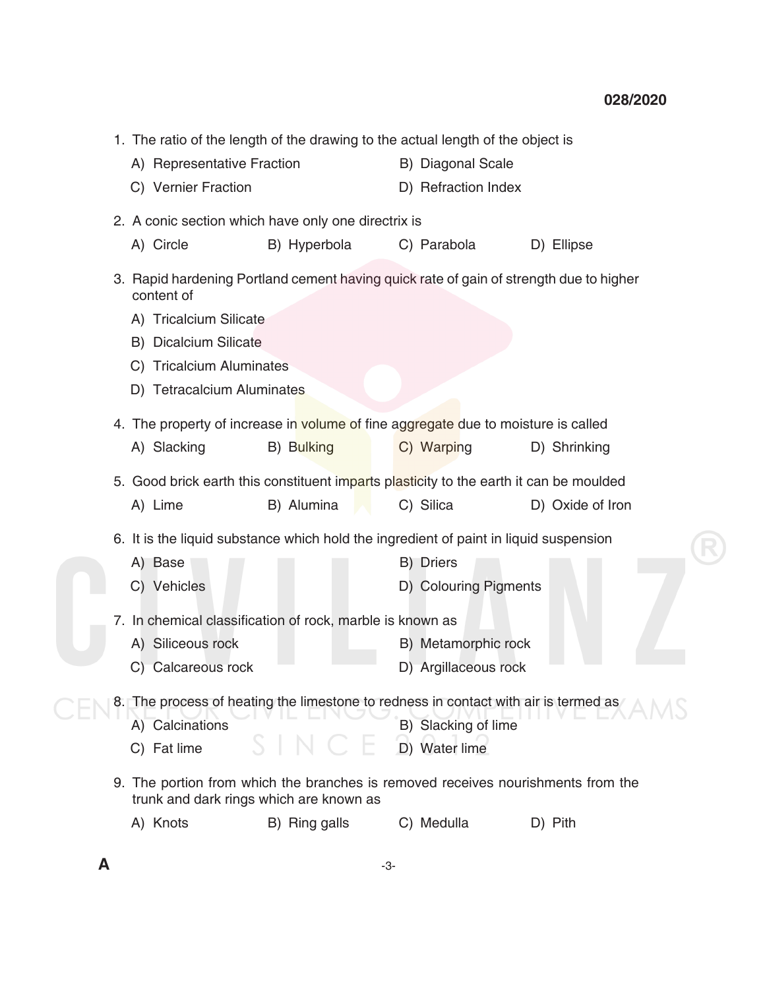|                                                                                                                                                         | 1. The ratio of the length of the drawing to the actual length of the object is<br>A) Representative Fraction<br>C) Vernier Fraction    |                         |  | B) Diagonal Scale<br>D) Refraction Index    |                  |
|---------------------------------------------------------------------------------------------------------------------------------------------------------|-----------------------------------------------------------------------------------------------------------------------------------------|-------------------------|--|---------------------------------------------|------------------|
|                                                                                                                                                         | 2. A conic section which have only one directrix is<br>A) Circle                                                                        | B) Hyperbola            |  | C) Parabola                                 | D) Ellipse       |
| 3. Rapid hardening Portland cement having quick rate of gain of strength due to higher<br>content of<br>A) Tricalcium Silicate<br>B) Dicalcium Silicate |                                                                                                                                         |                         |  |                                             |                  |
|                                                                                                                                                         | C) Tricalcium Aluminates<br>D) Tetracalcium Aluminates                                                                                  |                         |  |                                             |                  |
|                                                                                                                                                         | 4. The property of increase in volume of fine aggregate due to moisture is called<br>A) Slacking                                        | B) Bulking              |  | C) Warping                                  | D) Shrinking     |
|                                                                                                                                                         | 5. Good brick earth this constituent imparts plasticity to the earth it can be moulded<br>A) Lime                                       | B) Alumina              |  | C) Silica                                   | D) Oxide of Iron |
|                                                                                                                                                         | 6. It is the liquid substance which hold the ingredient of paint in liquid suspension<br>A) Base<br>C) Vehicles                         |                         |  | B) Driers<br>D) Colouring Pigments          |                  |
|                                                                                                                                                         | 7. In chemical classification of rock, marble is known as<br>A) Siliceous rock<br>C) Calcareous rock                                    |                         |  | B) Metamorphic rock<br>D) Argillaceous rock |                  |
|                                                                                                                                                         | 8. The process of heating the limestone to redness in contact with air is termed as<br>A) Calcinations<br>C) Fat lime                   | S I N C E D) Water lime |  | B) Slacking of lime                         |                  |
|                                                                                                                                                         | 9. The portion from which the branches is removed receives nourishments from the<br>trunk and dark rings which are known as<br>A) Knots | B) Ring galls           |  | C) Medulla                                  | D) Pith          |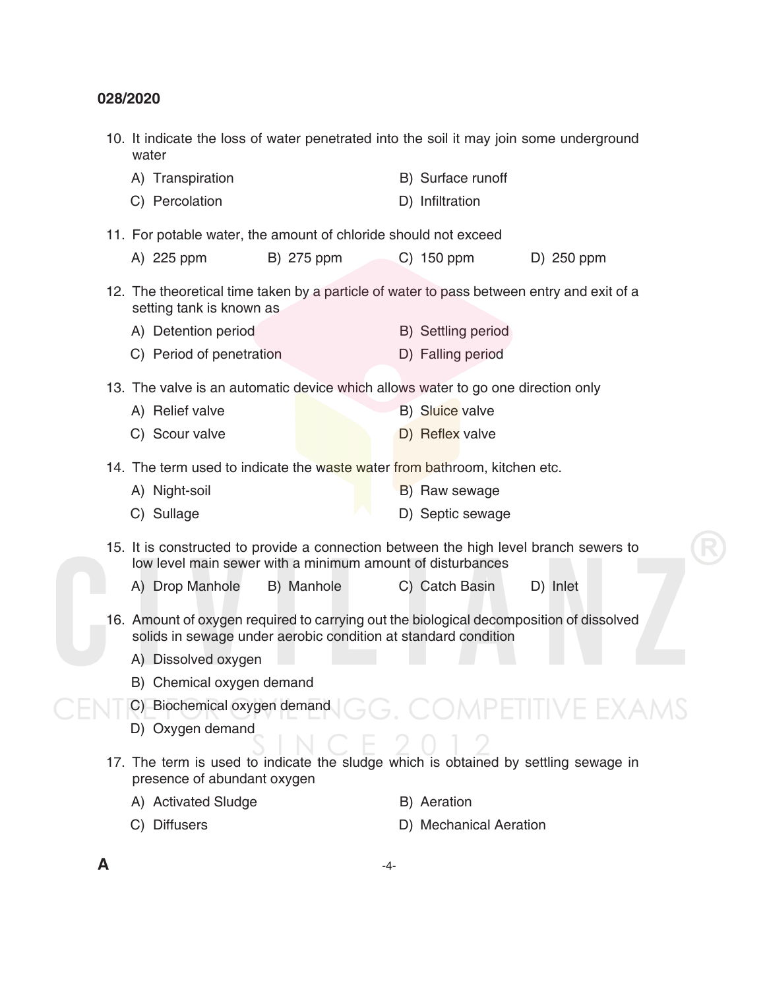|   | 10. It indicate the loss of water penetrated into the soil it may join some underground<br>water                                                          |            |                        |              |  |
|---|-----------------------------------------------------------------------------------------------------------------------------------------------------------|------------|------------------------|--------------|--|
|   | A) Transpiration                                                                                                                                          |            | B) Surface runoff      |              |  |
|   | C) Percolation                                                                                                                                            |            | D) Infiltration        |              |  |
|   | 11. For potable water, the amount of chloride should not exceed                                                                                           |            |                        |              |  |
|   | A) 225 ppm                                                                                                                                                | B) 275 ppm | $C)$ 150 ppm           | D) $250$ ppm |  |
|   | 12. The theoretical time taken by a particle of water to pass between entry and exit of a<br>setting tank is known as                                     |            |                        |              |  |
|   | A) Detention period                                                                                                                                       |            | B) Settling period     |              |  |
|   | C) Period of penetration                                                                                                                                  |            | D) Falling period      |              |  |
|   | 13. The valve is an automatic device which allows water to go one direction only                                                                          |            |                        |              |  |
|   | A) Relief valve                                                                                                                                           |            | <b>B)</b> Sluice valve |              |  |
|   | C) Scour valve                                                                                                                                            |            | D) Reflex valve        |              |  |
|   | 14. The term used to indicate the waste water from bathroom, kitchen etc.                                                                                 |            |                        |              |  |
|   | A) Night-soil                                                                                                                                             |            | B) Raw sewage          |              |  |
|   | C) Sullage                                                                                                                                                |            | D) Septic sewage       |              |  |
|   | 15. It is constructed to provide a connection between the high level branch sewers to<br>low level main sewer with a minimum amount of disturbances       |            |                        |              |  |
|   | A) Drop Manhole                                                                                                                                           | B) Manhole | C) Catch Basin         | D) Inlet     |  |
|   | 16. Amount of oxygen required to carrying out the biological decomposition of dissolved<br>solids in sewage under aerobic condition at standard condition |            |                        |              |  |
|   | A) Dissolved oxygen                                                                                                                                       |            |                        |              |  |
|   | B) Chemical oxygen demand                                                                                                                                 |            |                        |              |  |
|   | C) Biochemical oxygen demand                                                                                                                              |            |                        | )MPETTIVE    |  |
|   | D) Oxygen demand                                                                                                                                          |            |                        |              |  |
|   | 17. The term is used to indicate the sludge which is obtained by settling sewage in<br>presence of abundant oxygen                                        |            |                        |              |  |
|   | A) Activated Sludge                                                                                                                                       |            | B) Aeration            |              |  |
|   | C) Diffusers                                                                                                                                              |            | D) Mechanical Aeration |              |  |
| A |                                                                                                                                                           |            | -4-                    |              |  |
|   |                                                                                                                                                           |            |                        |              |  |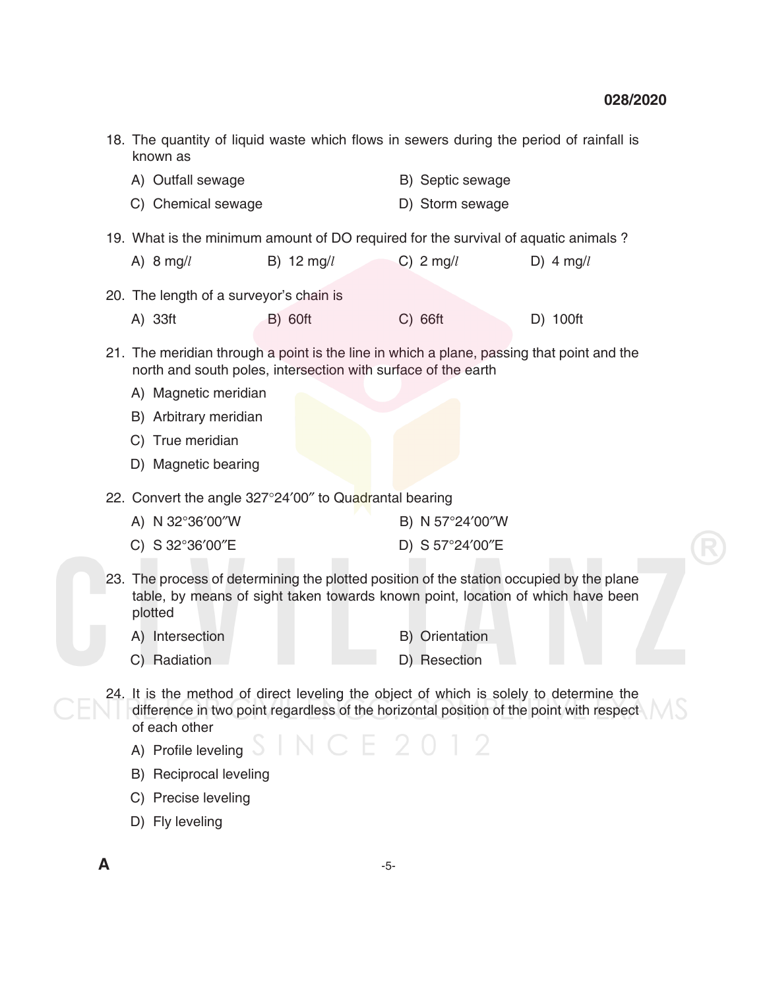18. The quantity of liquid waste which flows in sewers during the period of rainfall is known as A) Outfall sewage B) Septic sewage C) Chemical sewage D) Storm sewage 19. What is the minimum amount of DO required for the survival of aquatic animals ? A) 8 mg/*l* B) 12 mg/*l* C) 2 mg/*l* D) 4 mg/*l* 20. The length of a surveyor's chain is A) 33ft B) 60ft C) 66ft D) 100ft 21. The meridian through a point is the line in which a plane, passing that point and the north and south poles, intersection with surface of the earth A) Magnetic meridian B) Arbitrary meridian C) True meridian D) Magnetic bearing 22. Convert the angle  $327^{\circ}24'00''$  to Quadrantal bearing A) N 32°36'00"W B) N 57°24'00"W C) S 32°36'00"E D) S 57°24'00"E 23. The process of determining the plotted position of the station occupied by the plane table, by means of sight taken towards known point, location of which have been plotted A) Intersection B) Orientation C) Radiation **D**) Resection 24. It is the method of direct leveling the object of which is solely to determine the difference in two point regardless of the horizontal position of the point with respect of each other A) Profile leveling B) Reciprocal leveling C) Precise leveling D) Fly leveling

**A** -5-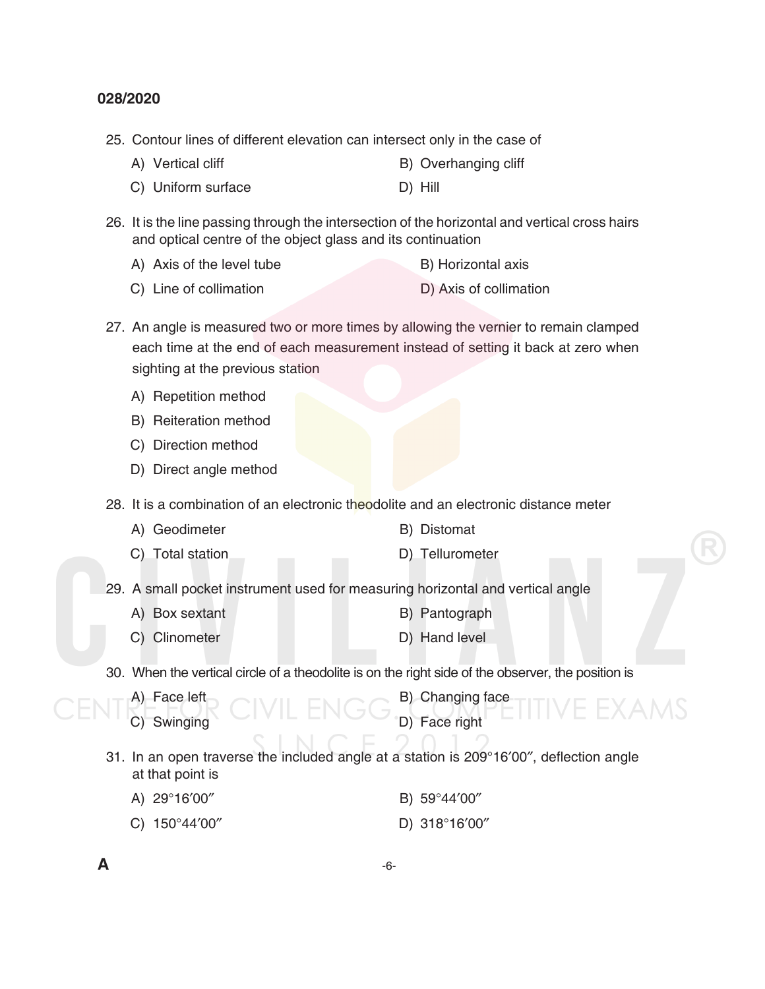- 25. Contour lines of different elevation can intersect only in the case of
	- A) Vertical cliff B) Overhanging cliff
	- C) Uniform surface D) Hill
- 26. It is the line passing through the intersection of the horizontal and vertical cross hairs and optical centre of the object glass and its continuation
	- A) Axis of the level tube B) Horizontal axis
	- C) Line of collimation D) Axis of collimation
- 27. An angle is measured two or more times by allowing the vernier to remain clamped each time at the end of each measurement instead of setting it back at zero when sighting at the previous station
	- A) Repetition method
	- B) Reiteration method
	- C) Direction method
	- D) Direct angle method
- 28. It is a combination of an electronic theodolite and an electronic distance meter
	- A) Geodimeter B) Distomat
	- C) Total station **D**) Tellurometer
- 29. A small pocket instrument used for measuring horizontal and vertical angle
	- A) Box sextant B) Pantograph
	- C) Clinometer D) Hand level
- -

XAMS

- 30. When the vertical circle of a theodolite is on the right side of the observer, the position is
- A) Face left  $\bigcap_{\Box}$  B) Changing face C) Swinging D) Face right 31. In an open traverse the included angle at a station is  $209^{\circ}16'00''$ , deflection angle at that point is
	- A) 29°16'00" B) 59°44'00"
	- C) 150°44'00" D) 318°16'00"
- $\mathsf{A}$   $\sim$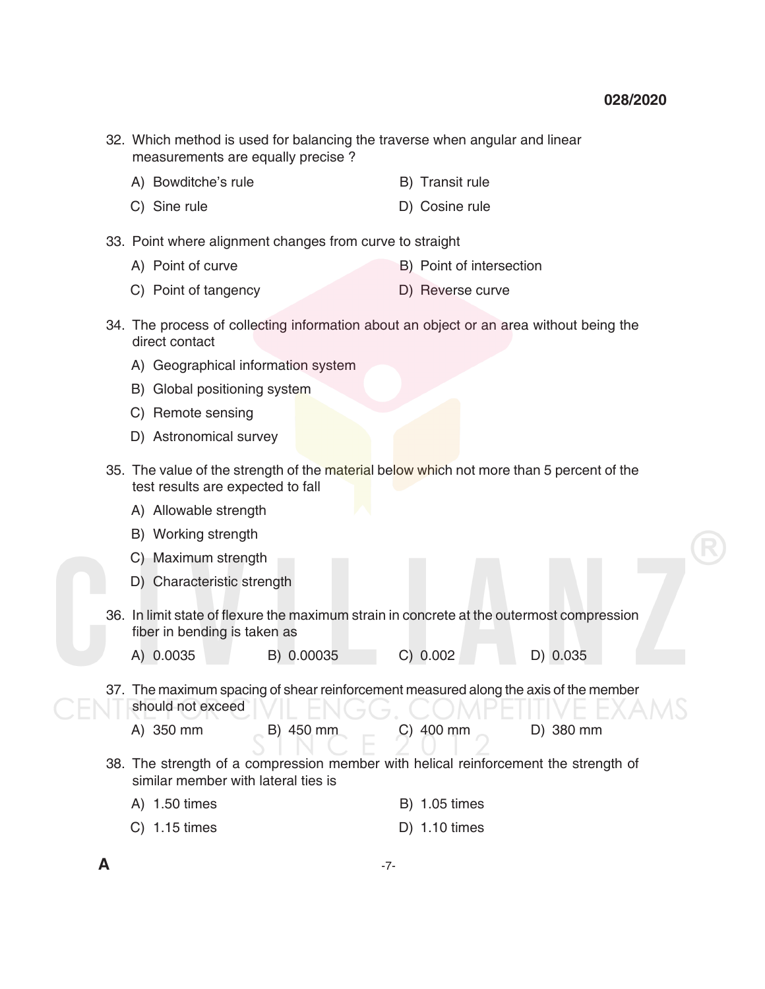- 32. Which method is used for balancing the traverse when angular and linear measurements are equally precise ?
	- A) Bowditche's rule B) Transit rule
	- C) Sine rule D) Cosine rule
- 33. Point where alignment changes from curve to straight
	- A) Point of curve B) Point of intersection
	- C) Point of tangency D) Reverse curve
- 34. The process of collecting information about an object or an area without being the direct contact
	- A) Geographical information system
	- B) Global positioning system
	- C) Remote sensing
	- D) Astronomical survey
- 35. The value of the strength of the material below which not more than 5 percent of the test results are expected to fall
	- A) Allowable strength
	- B) Working strength
	- C) Maximum strength
	- D) Characteristic strength
- 36. In limit state of flexure the maximum strain in concrete at the outermost compression fiber in bending is taken as
	- A) 0.0035 B) 0.00035 C) 0.002 D) 0.035
- 37. The maximum spacing of shear reinforcement measured along the axis of the member should not exceed

| A) 350 mm<br>B) 450 mm | $C)$ 400 mm | D) 380 mm |  |
|------------------------|-------------|-----------|--|
|------------------------|-------------|-----------|--|

 38. The strength of a compression member with helical reinforcement the strength of similar member with lateral ties is

| A) 1.50 times   | <b>B</b> ) 1.05 times |
|-----------------|-----------------------|
| $C)$ 1.15 times | $D)$ 1.10 times       |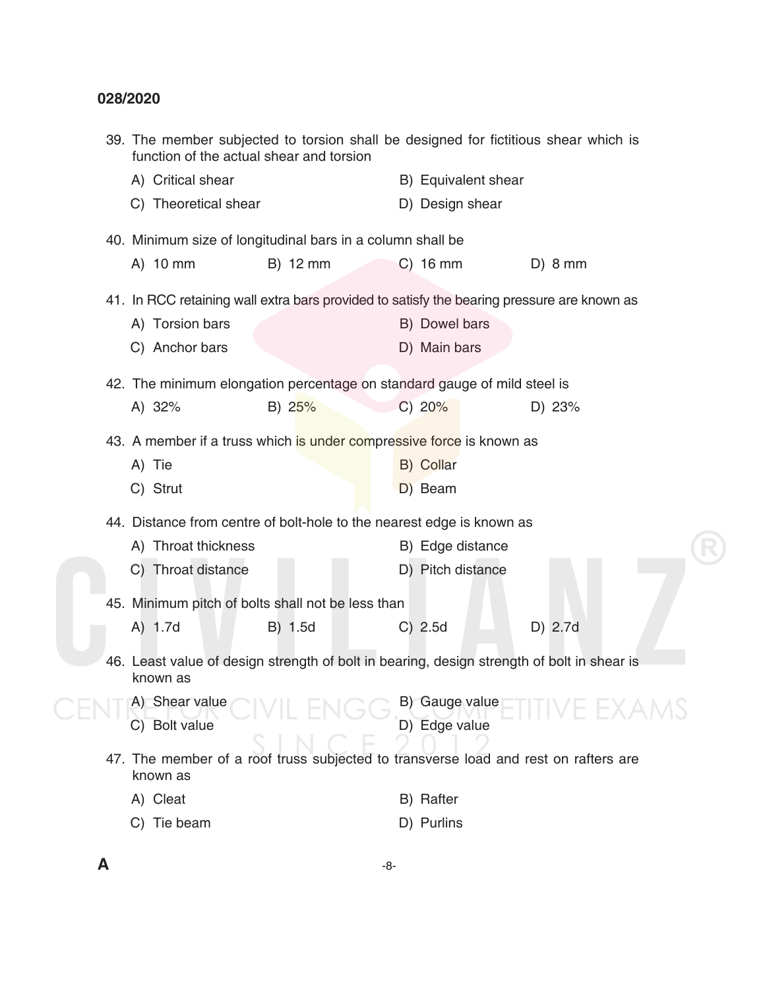|   | 39. The member subjected to torsion shall be designed for fictitious shear which is<br>function of the actual shear and torsion |          |                                 |         |  |
|---|---------------------------------------------------------------------------------------------------------------------------------|----------|---------------------------------|---------|--|
|   | A) Critical shear                                                                                                               |          | B) Equivalent shear             |         |  |
|   | C) Theoretical shear                                                                                                            |          | D) Design shear                 |         |  |
|   | 40. Minimum size of longitudinal bars in a column shall be                                                                      |          |                                 |         |  |
|   | A) 10 mm                                                                                                                        | B) 12 mm | $C)$ 16 mm                      | D) 8 mm |  |
|   | 41. In RCC retaining wall extra bars provided to satisfy the bearing pressure are known as                                      |          |                                 |         |  |
|   | A) Torsion bars                                                                                                                 |          | B) Dowel bars                   |         |  |
|   | C) Anchor bars                                                                                                                  |          | D) Main bars                    |         |  |
|   | 42. The minimum elongation percentage on standard gauge of mild steel is                                                        |          |                                 |         |  |
|   | A) 32%                                                                                                                          | B) 25%   | C) 20%                          | D) 23%  |  |
|   | 43. A member if a truss which is under compressive force is known as                                                            |          |                                 |         |  |
|   | A) Tie                                                                                                                          |          | B) Collar                       |         |  |
|   | C) Strut                                                                                                                        |          | D) Beam                         |         |  |
|   | 44. Distance from centre of bolt-hole to the nearest edge is known as                                                           |          |                                 |         |  |
|   | A) Throat thickness                                                                                                             |          | B) Edge distance                |         |  |
|   | C) Throat distance                                                                                                              |          | D) Pitch distance               |         |  |
|   | 45. Minimum pitch of bolts shall not be less than                                                                               |          |                                 |         |  |
|   | A) 1.7d                                                                                                                         | B) 1.5d  | $C)$ 2.5d                       | D) 2.7d |  |
|   | 46. Least value of design strength of bolt in bearing, design strength of bolt in shear is<br>known as                          |          |                                 |         |  |
|   | A) Shear value<br>C) Bolt value                                                                                                 |          | B) Gauge value<br>D) Edge value |         |  |
|   | 47. The member of a roof truss subjected to transverse load and rest on rafters are<br>known as                                 |          |                                 |         |  |
|   | A) Cleat                                                                                                                        |          | B) Rafter                       |         |  |
|   | C) Tie beam                                                                                                                     |          | D) Purlins                      |         |  |
| A |                                                                                                                                 |          | -8-                             |         |  |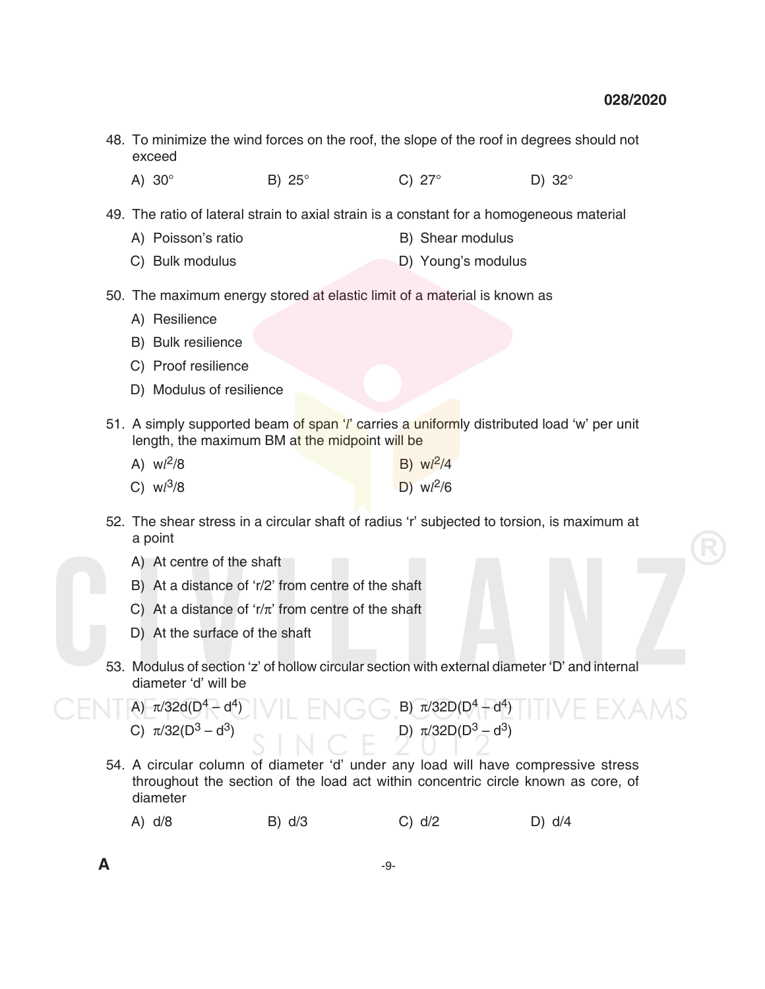- 48. To minimize the wind forces on the roof, the slope of the roof in degrees should not exceed
- A) 30°  $\,$  B) 25°  $\,$  C) 27°  $\,$  D) 32°
- 49. The ratio of lateral strain to axial strain is a constant for a homogeneous material
	- A) Poisson's ratio B) Shear modulus
	- C) Bulk modulus D) Young's modulus
- 50. The maximum energy stored at elastic limit of a material is known as
	- A) Resilience
	- B) Bulk resilience
	- C) Proof resilience
	- D) Modulus of resilience
- 51. A simply supported beam of span '*l*' carries a uniformly distributed load 'w' per unit length, the maximum BM at the midpoint will be
	- A) w*l* 2/8 B) w*l* 2/4
	- C) w*l* 3/8 D) w*l* 2/6
- 52. The shear stress in a circular shaft of radius 'r' subjected to torsion, is maximum at a point
	- A) At centre of the shaft
	- B) At a distance of 'r/2' from centre of the shaft
	- C) At a distance of 'r/ $\pi$ ' from centre of the shaft
	- D) At the surface of the shaft
- 53. Modulus of section 'z' of hollow circular section with external diameter 'D' and internal diameter 'd' will be
	- A)  $\pi$ /32d(D<sup>4</sup> d<sup>4</sup>) MI FNGC B)  $\pi$ /32D(D<sup>4</sup> d<sup>4</sup>) IVE FXAMS
		- C)  $\pi/32(D^3 d^3)$  D)  $\pi/32D(D^3 d^3)$
- 54. A circular column of diameter 'd' under any load will have compressive stress throughout the section of the load act within concentric circle known as core, of diameter
- A) d/8 B) d/3 C) d/2 D) d/4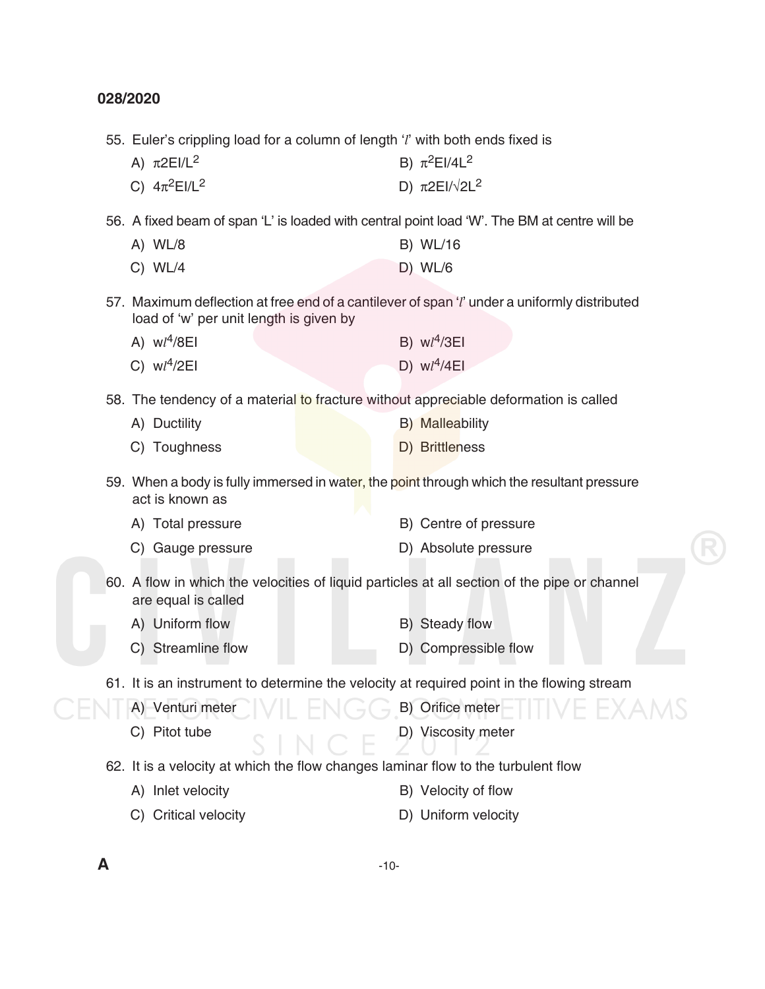55. Euler's crippling load for a column of length '*l*' with both ends fixed is

| A) $\pi$ 2EI/L <sup>2</sup>   | B) $\pi^2$ EI/4L <sup>2</sup> |
|-------------------------------|-------------------------------|
| C) $4\pi^2$ EI/L <sup>2</sup> | D) $\pi$ 2EI/ $\sqrt{2L^2}$   |

56. A fixed beam of span 'L' is loaded with central point load 'W'. The BM at centre will be

| A) $WL/8$            | B) WL/16             |
|----------------------|----------------------|
| C) W <sub>L</sub> /4 | D) W <sub>L</sub> /6 |

 57. Maximum deflection at free end of a cantilever of span '*l*' under a uniformly distributed load of 'w' per unit length is given by

| A) $Wl^4/8EI$ | B) $Wl^4/3EI$ |
|---------------|---------------|
| C) $Wl^4/2EI$ | D) $Wl^4/4EI$ |

- 58. The tendency of a material to fracture without appreciable deformation is called
	- A) Ductility **B**) Malleability
	- C) Toughness D) Brittleness
- 59. When a body is fully immersed in water, the point through which the resultant pressure act is known as
	- A) Total pressure B) Centre of pressure
	- C) Gauge pressure D) Absolute pressure
- 60. A flow in which the velocities of liquid particles at all section of the pipe or channel are equal is called
	- A) Uniform flow B) Steady flow
	-
- 
- C) Streamline flow D) Compressible flow

F FXAMS

61. It is an instrument to determine the velocity at required point in the flowing stream

| A) Venturi meter | - B) Orifice meter |
|------------------|--------------------|
| C) Pitot tube    | D) Viscosity meter |

- 62. It is a velocity at which the flow changes laminar flow to the turbulent flow
	- A) Inlet velocity **B**) Velocity of flow
	- C) Critical velocity D) Uniform velocity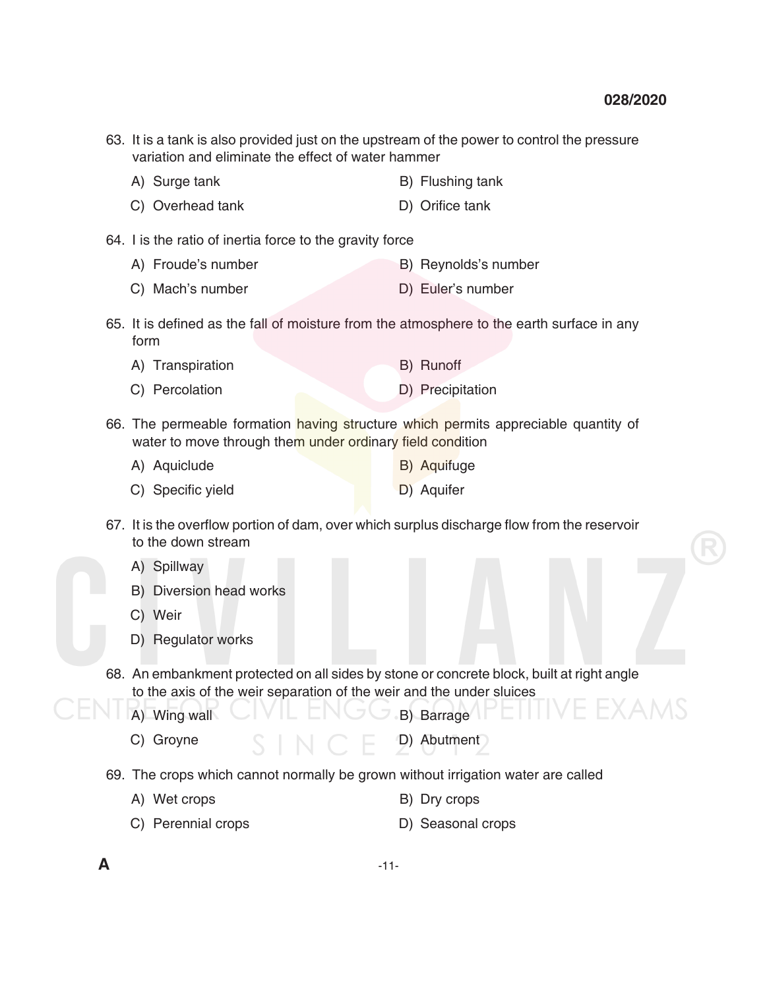|   | 63. It is a tank is also provided just on the upstream of the power to control the pressure<br>variation and eliminate the effect of water hammer                 |                      |
|---|-------------------------------------------------------------------------------------------------------------------------------------------------------------------|----------------------|
|   | A) Surge tank                                                                                                                                                     | B) Flushing tank     |
|   | C) Overhead tank                                                                                                                                                  | D) Orifice tank      |
|   | 64. I is the ratio of inertia force to the gravity force                                                                                                          |                      |
|   | A) Froude's number                                                                                                                                                | B) Reynolds's number |
|   | C) Mach's number                                                                                                                                                  | D) Euler's number    |
|   | 65. It is defined as the fall of moisture from the atmosphere to the earth surface in any<br>form                                                                 |                      |
|   | A) Transpiration                                                                                                                                                  | B) Runoff            |
|   | C) Percolation                                                                                                                                                    | D) Precipitation     |
|   | 66. The permeable formation having structure which permits appreciable quantity of<br>water to move through them under ordinary field condition                   |                      |
|   | A) Aquiclude                                                                                                                                                      | B) Aquifuge          |
|   | C) Specific yield                                                                                                                                                 | D) Aquifer           |
|   | 67. It is the overflow portion of dam, over which surplus discharge flow from the reservoir<br>to the down stream                                                 |                      |
|   | A) Spillway                                                                                                                                                       |                      |
|   | B) Diversion head works                                                                                                                                           |                      |
|   | C) Weir                                                                                                                                                           |                      |
|   | D) Regulator works                                                                                                                                                |                      |
|   | 68. An embankment protected on all sides by stone or concrete block, built at right angle<br>to the axis of the weir separation of the weir and the under sluices |                      |
|   | A) Wing wall                                                                                                                                                      | B) Barrage           |
|   | C) Groyne                                                                                                                                                         | D) Abutment          |
|   | 69. The crops which cannot normally be grown without irrigation water are called                                                                                  |                      |
|   | A) Wet crops                                                                                                                                                      | B) Dry crops         |
|   | C) Perennial crops                                                                                                                                                | D) Seasonal crops    |
| A |                                                                                                                                                                   | $-11-$               |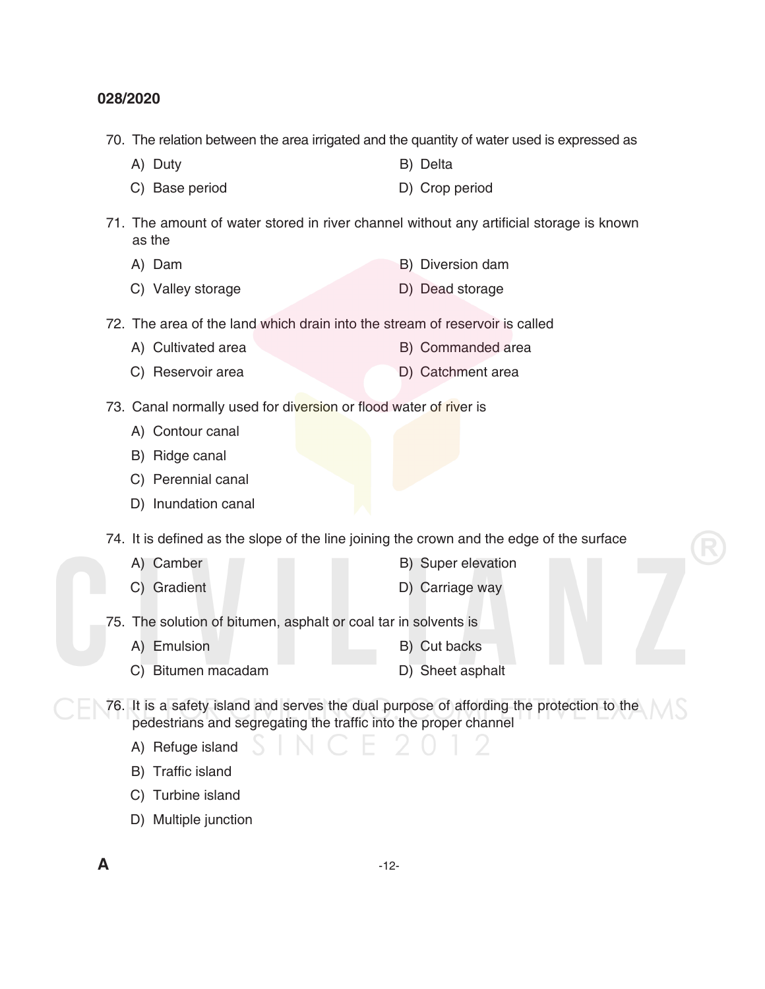- 70. The relation between the area irrigated and the quantity of water used is expressed as
	- A) Duty B) Delta
	- C) Base period D) Crop period

 71. The amount of water stored in river channel without any artificial storage is known as the

- A) Dam B) Diversion dam
- C) Valley storage D) Dead storage
- 72. The area of the land which drain into the stream of reservoir is called
	- A) Cultivated area B) Commanded area
	- C) Reservoir area D) Catchment area
- 73. Canal normally used for diversion or flood water of river is
	- A) Contour canal
	- B) Ridge canal
	- C) Perennial canal
	- D) Inundation canal

74. It is defined as the slope of the line joining the crown and the edge of the surface

- A) Camber B) Super elevation
- C) Gradient D) Carriage way

75. The solution of bitumen, asphalt or coal tar in solvents is

- A) Emulsion B) Cut backs
- C) Bitumen macadam D) Sheet asphalt

 76. It is a safety island and serves the dual purpose of affording the protection to the pedestrians and segregating the traffic into the proper channel

- A) Refuge island
- B) Traffic island
- C) Turbine island
- D) Multiple junction
-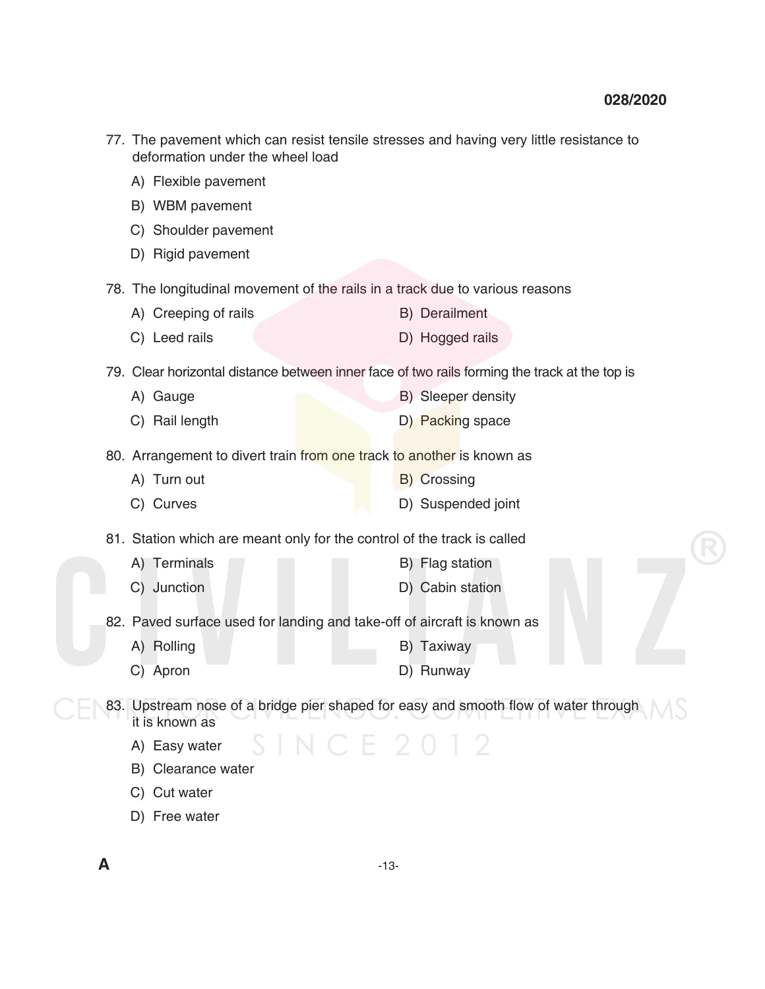| 77. The pavement which can resist tensile stresses and having very little resistance to<br>deformation under the wheel load |                      |
|-----------------------------------------------------------------------------------------------------------------------------|----------------------|
| A) Flexible pavement                                                                                                        |                      |
| B) WBM pavement                                                                                                             |                      |
| C) Shoulder pavement                                                                                                        |                      |
| D) Rigid pavement                                                                                                           |                      |
| 78. The longitudinal movement of the rails in a track due to various reasons                                                |                      |
| A) Creeping of rails                                                                                                        | <b>B)</b> Derailment |
| C) Leed rails                                                                                                               | D) Hogged rails      |
| 79. Clear horizontal distance between inner face of two rails forming the track at the top is                               |                      |
| A) Gauge                                                                                                                    | B) Sleeper density   |
| C) Rail length                                                                                                              | D) Packing space     |
| 80. Arrangement to divert train from one track to another is known as                                                       |                      |
| A) Turn out                                                                                                                 | B) Crossing          |
| C) Curves                                                                                                                   | D) Suspended joint   |
| 81. Station which are meant only for the control of the track is called                                                     |                      |
| A) Terminals                                                                                                                | B) Flag station      |
| C) Junction                                                                                                                 | D) Cabin station     |
| 82. Paved surface used for landing and take-off of aircraft is known as                                                     |                      |
| A) Rolling                                                                                                                  | B) Taxiway           |
| C) Apron                                                                                                                    | D) Runway            |
| 83. Upstream nose of a bridge pier shaped for easy and smooth flow of water through<br>it is known as                       |                      |
| SINCE 2012<br>A) Easy water                                                                                                 |                      |
| Clearance water<br>B)                                                                                                       |                      |
| Cut water<br>C)                                                                                                             |                      |
| D) Free water                                                                                                               |                      |
|                                                                                                                             |                      |

**A** -13-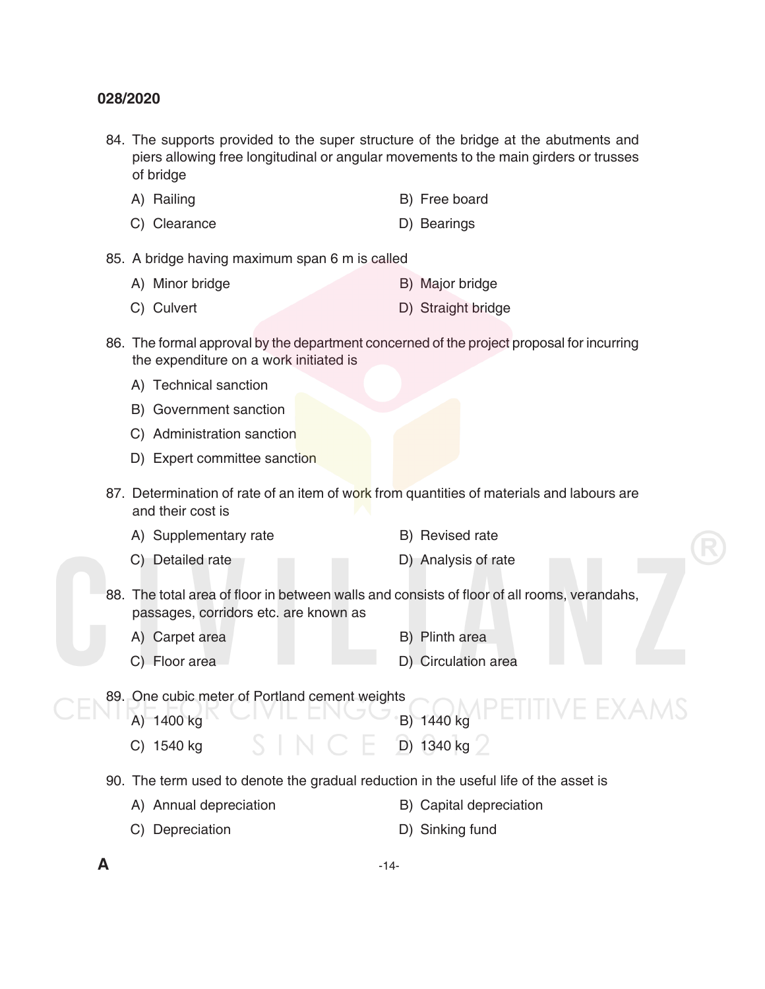- 84. The supports provided to the super structure of the bridge at the abutments and piers allowing free longitudinal or angular movements to the main girders or trusses of bridge
	- A) Railing B) Free board
	- C) Clearance D) Bearings
- 85. A bridge having maximum span 6 m is called
	- A) Minor bridge B) Major bridge
	- C) Culvert D) Straight bridge
- 86. The formal approval by the department concerned of the project proposal for incurring the expenditure on a work initiated is
	- A) Technical sanction
	- B) Government sanction
	- C) Administration sanction
	- D) Expert committee sanction
- 87. Determination of rate of an item of work from quantities of materials and labours are and their cost is

A) Supplementary rate B) Revised rate

- 
- C) Detailed rate D) Analysis of rate
- 88. The total area of floor in between walls and consists of floor of all rooms, verandahs, passages, corridors etc. are known as
	- A) Carpet area B) Plinth area
		-
	- C) Floor area D) Circulation area

|  |  |  | 89. One cubic meter of Portland cement weights |  |
|--|--|--|------------------------------------------------|--|
|--|--|--|------------------------------------------------|--|

- $A)$  1400 kg  $\blacksquare$   $\blacksquare$   $\blacksquare$   $\blacksquare$   $\blacksquare$   $\blacksquare$   $\blacksquare$   $\blacksquare$   $\blacksquare$   $\blacksquare$   $\blacksquare$   $\blacksquare$   $\blacksquare$   $\blacksquare$   $\blacksquare$   $\blacksquare$   $\blacksquare$   $\blacksquare$   $\blacksquare$   $\blacksquare$   $\blacksquare$   $\blacksquare$   $\blacksquare$   $\blacksquare$   $\blacksquare$   $\blacksquare$   $\blacksquare$   $\blacksquare$   $\blacksquare$   $\blacksquare$ 
	-
- C) 1540 kg  $\begin{array}{|c|c|c|c|c|c|}\n\hline\n\end{array}$  D) 1340 kg  $\begin{array}{|c|c|c|c|}\n\hline\n\end{array}$
- 90. The term used to denote the gradual reduction in the useful life of the asset is
	- A) Annual depreciation B) Capital depreciation
	- C) Depreciation D) Sinking fund
- 

- 
- **A** -14-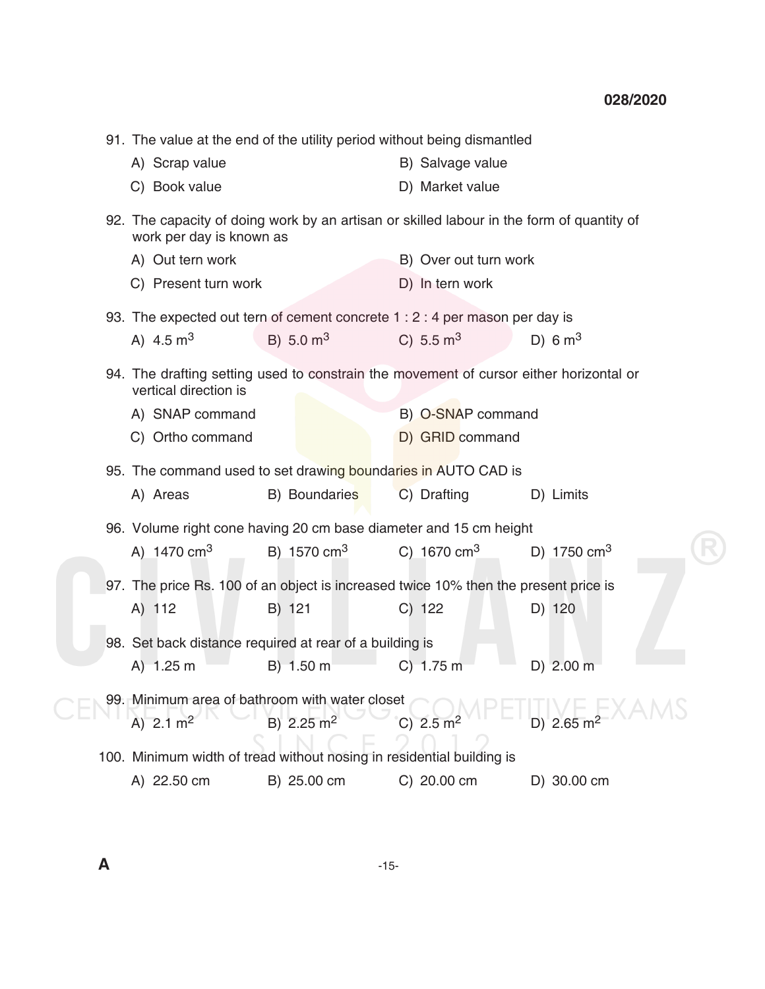|  | 91. The value at the end of the utility period without being dismantled                                               |                         |                       |               |
|--|-----------------------------------------------------------------------------------------------------------------------|-------------------------|-----------------------|---------------|
|  | A) Scrap value                                                                                                        |                         | B) Salvage value      |               |
|  | C) Book value                                                                                                         |                         | D) Market value       |               |
|  | 92. The capacity of doing work by an artisan or skilled labour in the form of quantity of<br>work per day is known as |                         |                       |               |
|  | A) Out tern work                                                                                                      |                         | B) Over out turn work |               |
|  | C) Present turn work                                                                                                  |                         | D) In tern work       |               |
|  | 93. The expected out tern of cement concrete 1 : 2 : 4 per mason per day is                                           |                         |                       |               |
|  | A) $4.5 \text{ m}^3$                                                                                                  | B) 5.0 $\mathrm{m}^{3}$ | C) 5.5 $m3$           | D) 6 $m3$     |
|  | 94. The drafting setting used to constrain the movement of cursor either horizontal or<br>vertical direction is       |                         |                       |               |
|  | A) SNAP command                                                                                                       |                         | B) O-SNAP command     |               |
|  | C) Ortho command                                                                                                      |                         | D) GRID command       |               |
|  | 95. The command used to set drawing boundaries in AUTO CAD is                                                         |                         |                       |               |
|  | A) Areas                                                                                                              | B) Boundaries           | C) Drafting           | D) Limits     |
|  | 96. Volume right cone having 20 cm base diameter and 15 cm height                                                     |                         |                       |               |
|  | A) $1470 \text{ cm}^3$                                                                                                | B) 1570 cm <sup>3</sup> | C) 1670 $cm3$         | D) 1750 $cm3$ |
|  | 97. The price Rs. 100 of an object is increased twice 10% then the present price is                                   |                         |                       |               |
|  | A) 112                                                                                                                | B) 121                  | C) 122                | D) 120        |
|  | 98. Set back distance required at rear of a building is                                                               |                         |                       |               |
|  | $A)$ 1.25 m                                                                                                           | $B)$ 1.50 m             | $C)$ 1.75 m           | $D)$ 2.00 m   |
|  | 99. Minimum area of bathroom with water closet                                                                        |                         |                       |               |
|  | A) $2.1 \text{ m}^2$                                                                                                  | B) $2.25 \text{ m}^2$   | C) $2.5 \text{ m}^2$  | D) 2.65 $m2$  |
|  | 100. Minimum width of tread without nosing in residential building is                                                 |                         |                       |               |
|  | A) 22.50 cm                                                                                                           | B) 25.00 cm             | C) 20.00 cm           | D) 30.00 cm   |